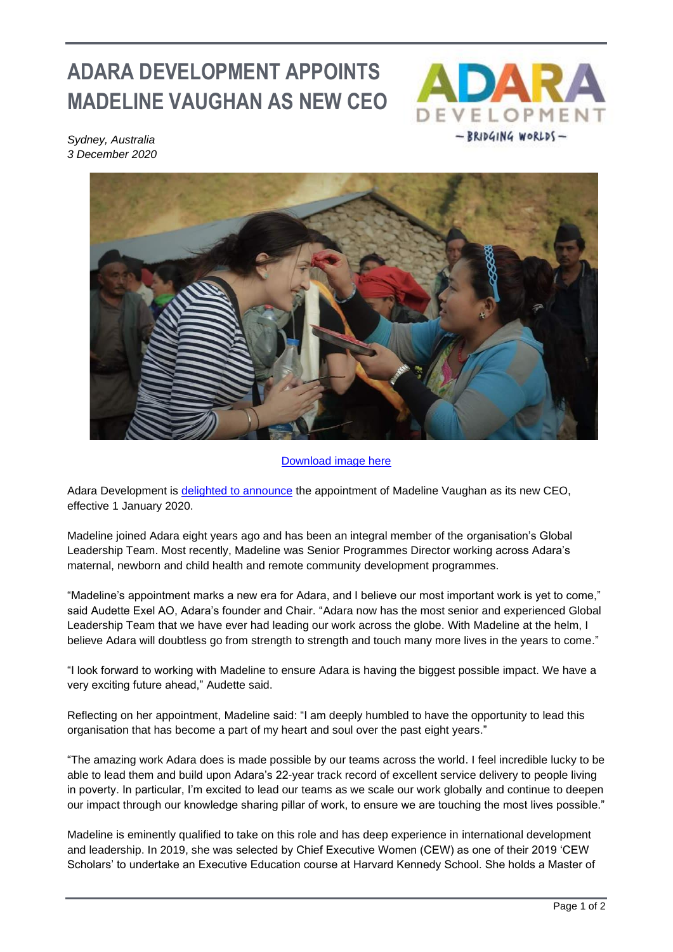## **ADARA DEVELOPMENT APPOINTS MADELINE VAUGHAN AS NEW CEO**



*Sydney, Australia 3 December 2020*



## [Download image here](https://www.dropbox.com/s/vcwupkd96q2c0c2/IMG_20190114_191412_682.jpg?dl=0)

Adara Development is [delighted to announce](https://www.youtube.com/watch?v=qmrLWqMbQWQ) the appointment of Madeline Vaughan as its new CEO, effective 1 January 2020.

Madeline joined Adara eight years ago and has been an integral member of the organisation's Global Leadership Team. Most recently, Madeline was Senior Programmes Director working across Adara's maternal, newborn and child health and remote community development programmes.

"Madeline's appointment marks a new era for Adara, and I believe our most important work is yet to come," said Audette Exel AO, Adara's founder and Chair. "Adara now has the most senior and experienced Global Leadership Team that we have ever had leading our work across the globe. With Madeline at the helm, I believe Adara will doubtless go from strength to strength and touch many more lives in the years to come."

"I look forward to working with Madeline to ensure Adara is having the biggest possible impact. We have a very exciting future ahead," Audette said.

Reflecting on her appointment, Madeline said: "I am deeply humbled to have the opportunity to lead this organisation that has become a part of my heart and soul over the past eight years."

"The amazing work Adara does is made possible by our teams across the world. I feel incredible lucky to be able to lead them and build upon Adara's 22-year track record of excellent service delivery to people living in poverty. In particular, I'm excited to lead our teams as we scale our work globally and continue to deepen our impact through our knowledge sharing pillar of work, to ensure we are touching the most lives possible."

Madeline is eminently qualified to take on this role and has deep experience in international development and leadership. In 2019, she was selected by Chief Executive Women (CEW) as one of their 2019 'CEW Scholars' to undertake an Executive Education course at Harvard Kennedy School. She holds a Master of